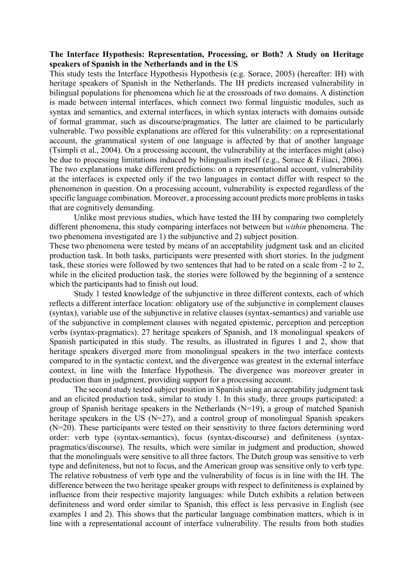## **The Interface Hypothesis: Representation, Processing, or Both? A Study on Heritage speakers of Spanish in the Netherlands and in the US**

This study tests the Interface Hypothesis Hypothesis (e.g. Sorace, 2005) (hereafter: IH) with heritage speakers of Spanish in the Netherlands. The IH predicts increased vulnerability in bilingual populations for phenomena which lie at the crossroads of two domains. A distinction is made between internal interfaces, which connect two formal linguistic modules, such as syntax and semantics, and external interfaces, in which syntax interacts with domains outside of formal grammar, such as discourse/pragmatics. The latter are claimed to be particularly vulnerable. Two possible explanations are offered for this vulnerability: on a representational account, the grammatical system of one language is affected by that of another language (Tsimpli et al., 2004). On a processing account, the vulnerability at the interfaces might (also) be due to processing limitations induced by bilingualism itself (e.g., Sorace & Filiaci, 2006). The two explanations make different predictions: on a representational account, vulnerability at the interfaces is expected only if the two languages in contact differ with respect to the phenomenon in question. On a processing account, vulnerability is expected regardless of the specific language combination. Moreover, a processing account predicts more problems in tasks that are cognitively demanding.

Unlike most previous studies, which have tested the IH by comparing two completely different phenomena, this study comparing interfaces not between but *within* phenomena. The two phenomena investigated are 1) the subjunctive and 2) subject position.

These two phenomena were tested by means of an acceptability judgment task and an elicited production task. In both tasks, participants were presented with short stories. In the judgment task, these stories were followed by two sentences that had to be rated on a scale from -2 to 2, while in the elicited production task, the stories were followed by the beginning of a sentence which the participants had to finish out loud.

Study 1 tested knowledge of the subjunctive in three different contexts, each of which reflects a different interface location: obligatory use of the subjunctive in complement clauses (syntax), variable use of the subjunctive in relative clauses (syntax-semantics) and variable use of the subjunctive in complement clauses with negated epistemic, perception and perception verbs (syntax-pragmatics). 27 heritage speakers of Spanish, and 18 monolingual speakers of Spanish participated in this study. The results, as illustrated in figures 1 and 2, show that heritage speakers diverged more from monolingual speakers in the two interface contexts compared to in the syntactic context, and the divergence was greatest in the external interface context, in line with the Interface Hypothesis. The divergence was moreover greater in production than in judgment, providing support for a processing account.

The second study tested subject position in Spanish using an acceptability judgment task and an elicited production task, similar to study 1. In this study, three groups participated: a group of Spanish heritage speakers in the Netherlands (N=19), a group of matched Spanish heritage speakers in the US  $(N=27)$ , and a control group of monolingual Spanish speakers (N=20). These participants were tested on their sensitivity to three factors determining word order: verb type (syntax-semantics), focus (syntax-discourse) and definiteness (syntaxpragmatics/discourse). The results, which were similar in judgment and production, showed that the monolinguals were sensitive to all three factors. The Dutch group was sensitive to verb type and definiteness, but not to focus, and the American group was sensitive only to verb type. The relative robustness of verb type and the vulnerability of focus is in line with the IH. The difference between the two heritage speaker groups with respect to definiteness is explained by influence from their respective majority languages: while Dutch exhibits a relation between definiteness and word order similar to Spanish, this effect is less pervasive in English (see examples 1 and 2). This shows that the particular language combination matters, which is in line with a representational account of interface vulnerability. The results from both studies